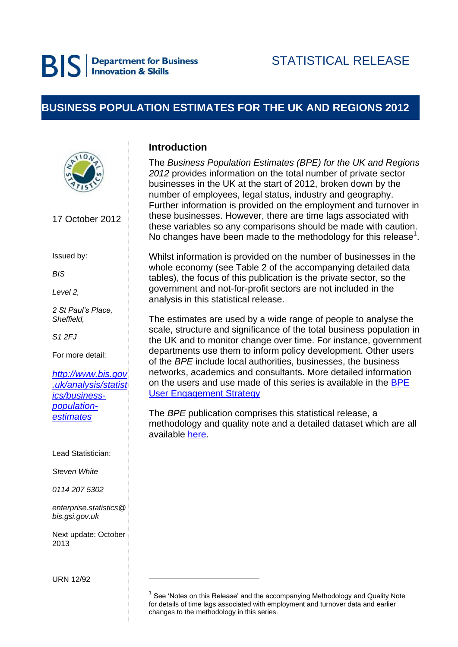# **BUSINESS POPULATION ESTIMATES FOR THE UK AND REGIONS 2012**



17 October 2012

Issued by:

*BIS*

*Level 2,* 

*2 St Paul's Place, Sheffield,* 

*S1 2FJ*

For more detail:

*[http://www.bis.gov](http://www.bis.gov.uk/analysis/statistics/business-population-estimates) [.uk/analysis/statist](http://www.bis.gov.uk/analysis/statistics/business-population-estimates) [ics/business](http://www.bis.gov.uk/analysis/statistics/business-population-estimates)[population](http://www.bis.gov.uk/analysis/statistics/business-population-estimates)[estimates](http://www.bis.gov.uk/analysis/statistics/business-population-estimates)*

Lead Statistician:

*Steven White*

*0114 207 5302*

*enterprise.statistics@ bis.gsi.gov.uk*

Next update: October 2013

.

URN 12/92

# **Introduction**

The *Business Population Estimates (BPE) for the UK and Regions 2012* provides information on the total number of private sector businesses in the UK at the start of 2012, broken down by the number of employees, legal status, industry and geography. Further information is provided on the employment and turnover in these businesses. However, there are time lags associated with these variables so any comparisons should be made with caution. No changes have been made to the methodology for this release $<sup>1</sup>$ .</sup>

Whilst information is provided on the number of businesses in the whole economy (see Table 2 of the accompanying detailed data tables), the focus of this publication is the private sector, so the government and not-for-profit sectors are not included in the analysis in this statistical release.

The estimates are used by a wide range of people to analyse the scale, structure and significance of the total business population in the UK and to monitor change over time. For instance, government departments use them to inform policy development. Other users of the *BPE* include local authorities, businesses, the business networks, academics and consultants. More detailed information on the users and use made of this series is available in the [BPE](http://www.bis.gov.uk/assets/biscore/statistics/docs/b/bpe%20user%20engagement%20strategy.pdff)  [User Engagement Strategy](http://www.bis.gov.uk/assets/biscore/statistics/docs/b/bpe%20user%20engagement%20strategy.pdff)

The *BPE* publication comprises this statistical release, a methodology and quality note and a detailed dataset which are all available [here.](http://www.bis.gov.uk/analysis/statistics/business-population-estimates)

 $1$  See 'Notes on this Release' and the accompanying Methodology and Quality Note for details of time lags associated with employment and turnover data and earlier changes to the methodology in this series.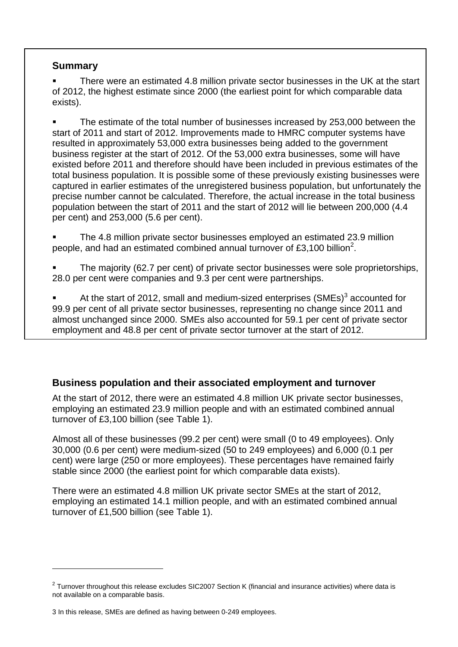# **Summary**

 There were an estimated 4.8 million private sector businesses in the UK at the start of 2012, the highest estimate since 2000 (the earliest point for which comparable data exists).

 The estimate of the total number of businesses increased by 253,000 between the start of 2011 and start of 2012. Improvements made to HMRC computer systems have resulted in approximately 53,000 extra businesses being added to the government business register at the start of 2012. Of the 53,000 extra businesses, some will have existed before 2011 and therefore should have been included in previous estimates of the total business population. It is possible some of these previously existing businesses were captured in earlier estimates of the unregistered business population, but unfortunately the precise number cannot be calculated. Therefore, the actual increase in the total business population between the start of 2011 and the start of 2012 will lie between 200,000 (4.4 per cent) and 253,000 (5.6 per cent).

 The 4.8 million private sector businesses employed an estimated 23.9 million people, and had an estimated combined annual turnover of £3,100 billion<sup>2</sup>.

 The majority (62.7 per cent) of private sector businesses were sole proprietorships, 28.0 per cent were companies and 9.3 per cent were partnerships.

At the start of 2012, small and medium-sized enterprises  $(SMEs)^3$  accounted for 99.9 per cent of all private sector businesses, representing no change since 2011 and almost unchanged since 2000. SMEs also accounted for 59.1 per cent of private sector employment and 48.8 per cent of private sector turnover at the start of 2012.

# **Business population and their associated employment and turnover**

At the start of 2012, there were an estimated 4.8 million UK private sector businesses, employing an estimated 23.9 million people and with an estimated combined annual turnover of £3,100 billion (see Table 1).

Almost all of these businesses (99.2 per cent) were small (0 to 49 employees). Only 30,000 (0.6 per cent) were medium-sized (50 to 249 employees) and 6,000 (0.1 per cent) were large (250 or more employees). These percentages have remained fairly stable since 2000 (the earliest point for which comparable data exists).

There were an estimated 4.8 million UK private sector SMEs at the start of 2012, employing an estimated 14.1 million people, and with an estimated combined annual turnover of £1,500 billion (see Table 1).

-

 $2$  Turnover throughout this release excludes SIC2007 Section K (financial and insurance activities) where data is not available on a comparable basis.

<sup>3</sup> In this release, SMEs are defined as having between 0-249 employees.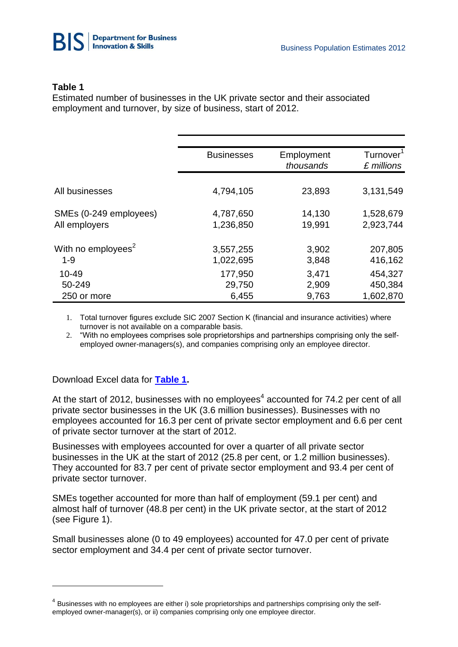

### **Table 1**

Estimated number of businesses in the UK private sector and their associated employment and turnover, by size of business, start of 2012.

|                                | <b>Businesses</b> | Employment<br>thousands | Turnover <sup>1</sup><br>£ millions |
|--------------------------------|-------------------|-------------------------|-------------------------------------|
| All businesses                 | 4,794,105         | 23,893                  | 3,131,549                           |
| SMEs (0-249 employees)         | 4,787,650         | 14,130                  | 1,528,679                           |
| All employers                  | 1,236,850         | 19,991                  | 2,923,744                           |
| With no employees <sup>2</sup> | 3,557,255         | 3,902                   | 207,805                             |
| $1 - 9$                        | 1,022,695         | 3,848                   | 416,162                             |
| $10 - 49$                      | 177,950           | 3,471                   | 454,327                             |
| 50-249                         | 29,750            | 2,909                   | 450,384                             |
| 250 or more                    | 6,455             | 9,763                   | 1,602,870                           |

1. Total turnover figures exclude SIC 2007 Section K (financial and insurance activities) where turnover is not available on a comparable basis.

2. "With no employees comprises sole proprietorships and partnerships comprising only the selfemployed owner-managers(s), and companies comprising only an employee director.

Download Excel data for **[Table 1.](http://www.bis.gov.uk/assets/biscore/statistics/docs/b/bpe2012SRtab1.xls)**

-

At the start of 2012, businesses with no employees<sup>4</sup> accounted for 74.2 per cent of all private sector businesses in the UK (3.6 million businesses). Businesses with no employees accounted for 16.3 per cent of private sector employment and 6.6 per cent of private sector turnover at the start of 2012.

Businesses with employees accounted for over a quarter of all private sector businesses in the UK at the start of 2012 (25.8 per cent, or 1.2 million businesses). They accounted for 83.7 per cent of private sector employment and 93.4 per cent of private sector turnover.

SMEs together accounted for more than half of employment (59.1 per cent) and almost half of turnover (48.8 per cent) in the UK private sector, at the start of 2012 (see Figure 1).

Small businesses alone (0 to 49 employees) accounted for 47.0 per cent of private sector employment and 34.4 per cent of private sector turnover.

 $<sup>4</sup>$  Businesses with no employees are either i) sole proprietorships and partnerships comprising only the self-</sup> employed owner-manager(s), or ii) companies comprising only one employee director.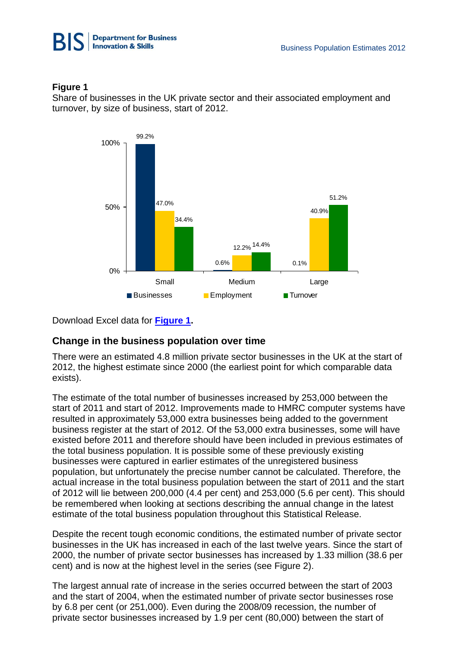



Share of businesses in the UK private sector and their associated employment and turnover, by size of business, start of 2012.



Download Excel data for **[Figure 1.](http://www.bis.gov.uk/assets/biscore/statistics/docs/b/bpe2012SRtab2.xls)**

# **Change in the business population over time**

There were an estimated 4.8 million private sector businesses in the UK at the start of 2012, the highest estimate since 2000 (the earliest point for which comparable data exists).

The estimate of the total number of businesses increased by 253,000 between the start of 2011 and start of 2012. Improvements made to HMRC computer systems have resulted in approximately 53,000 extra businesses being added to the government business register at the start of 2012. Of the 53,000 extra businesses, some will have existed before 2011 and therefore should have been included in previous estimates of the total business population. It is possible some of these previously existing businesses were captured in earlier estimates of the unregistered business population, but unfortunately the precise number cannot be calculated. Therefore, the actual increase in the total business population between the start of 2011 and the start of 2012 will lie between 200,000 (4.4 per cent) and 253,000 (5.6 per cent). This should be remembered when looking at sections describing the annual change in the latest estimate of the total business population throughout this Statistical Release.

Despite the recent tough economic conditions, the estimated number of private sector businesses in the UK has increased in each of the last twelve years. Since the start of 2000, the number of private sector businesses has increased by 1.33 million (38.6 per cent) and is now at the highest level in the series (see Figure 2).

The largest annual rate of increase in the series occurred between the start of 2003 and the start of 2004, when the estimated number of private sector businesses rose by 6.8 per cent (or 251,000). Even during the 2008/09 recession, the number of private sector businesses increased by 1.9 per cent (80,000) between the start of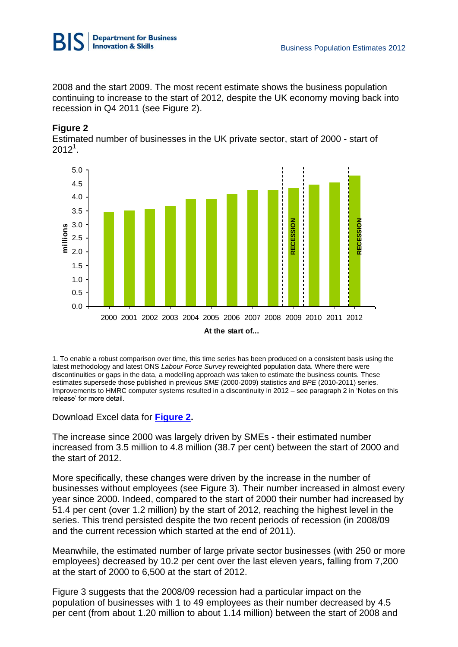

2008 and the start 2009. The most recent estimate shows the business population continuing to increase to the start of 2012, despite the UK economy moving back into recession in Q4 2011 (see Figure 2).

### **Figure 2**

Estimated number of businesses in the UK private sector, start of 2000 - start of  $2012^1$ .



1. To enable a robust comparison over time, this time series has been produced on a consistent basis using the latest methodology and latest ONS *Labour Force Survey* reweighted population data. Where there were discontinuities or gaps in the data, a modelling approach was taken to estimate the business counts. These estimates supersede those published in previous *SME* (2000-2009) statistics and *BPE* (2010-2011) series. Improvements to HMRC computer systems resulted in a discontinuity in 2012 – see paragraph 2 in 'Notes on this release' for more detail.

Download Excel data for **[Figure 2.](http://www.bis.gov.uk/assets/biscore/statistics/docs/b/bpe2012SRtab3.xls)**

The increase since 2000 was largely driven by SMEs - their estimated number increased from 3.5 million to 4.8 million (38.7 per cent) between the start of 2000 and the start of 2012.

More specifically, these changes were driven by the increase in the number of businesses without employees (see Figure 3). Their number increased in almost every year since 2000. Indeed, compared to the start of 2000 their number had increased by 51.4 per cent (over 1.2 million) by the start of 2012, reaching the highest level in the series. This trend persisted despite the two recent periods of recession (in 2008/09 and the current recession which started at the end of 2011).

Meanwhile, the estimated number of large private sector businesses (with 250 or more employees) decreased by 10.2 per cent over the last eleven years, falling from 7,200 at the start of 2000 to 6,500 at the start of 2012.

Figure 3 suggests that the 2008/09 recession had a particular impact on the population of businesses with 1 to 49 employees as their number decreased by 4.5 per cent (from about 1.20 million to about 1.14 million) between the start of 2008 and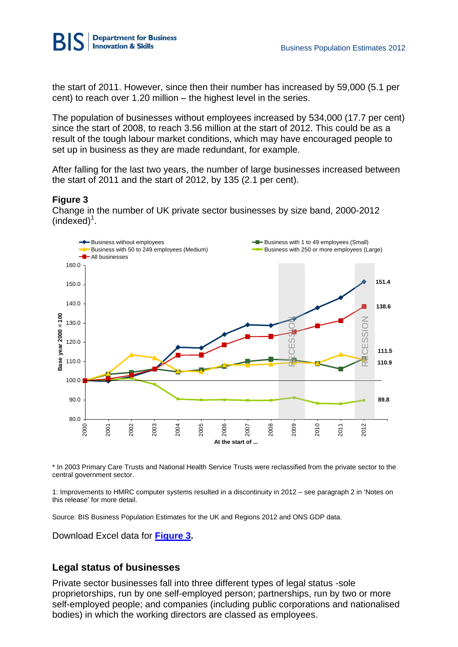

the start of 2011. However, since then their number has increased by 59,000 (5.1 per cent) to reach over 1.20 million – the highest level in the series.

The population of businesses without employees increased by 534,000 (17.7 per cent) since the start of 2008, to reach 3.56 million at the start of 2012. This could be as a result of the tough labour market conditions, which may have encouraged people to set up in business as they are made redundant, for example.

After falling for the last two years, the number of large businesses increased between the start of 2011 and the start of 2012, by 135 (2.1 per cent).

### **Figure 3**

Change in the number of UK private sector businesses by size band, 2000-2012  $(indexed)<sup>1</sup>$ .



\* In 2003 Primary Care Trusts and National Health Service Trusts were reclassified from the private sector to the central government sector.

1: Improvements to HMRC computer systems resulted in a discontinuity in 2012 – see paragraph 2 in 'Notes on this release' for more detail.

Source: BIS Business Population Estimates for the UK and Regions 2012 and ONS GDP data.

Download Excel data for **[Figure 3.](http://www.bis.gov.uk/assets/biscore/statistics/docs/b/bpe2012SRtab4.xls)**

# **Legal status of businesses**

Private sector businesses fall into three different types of legal status -sole proprietorships, run by one self-employed person; partnerships, run by two or more self-employed people; and companies (including public corporations and nationalised bodies) in which the working directors are classed as employees.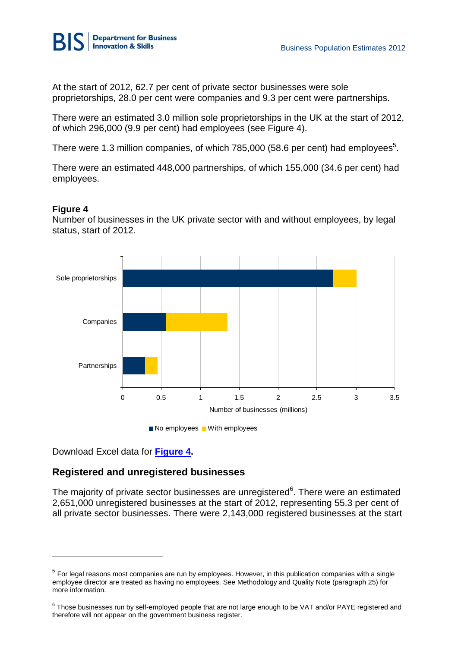

At the start of 2012, 62.7 per cent of private sector businesses were sole proprietorships, 28.0 per cent were companies and 9.3 per cent were partnerships.

There were an estimated 3.0 million sole proprietorships in the UK at the start of 2012, of which 296,000 (9.9 per cent) had employees (see Figure 4).

There were 1.3 million companies, of which 785,000 (58.6 per cent) had employees<sup>5</sup>.

There were an estimated 448,000 partnerships, of which 155,000 (34.6 per cent) had employees.

### **Figure 4**

-

Number of businesses in the UK private sector with and without employees, by legal status, start of 2012.





Download Excel data for **[Figure 4.](http://www.bis.gov.uk/assets/biscore/statistics/docs/b/bpe2012SRtab5.xls)**

# **Registered and unregistered businesses**

The majority of private sector businesses are unregistered $6$ . There were an estimated 2,651,000 unregistered businesses at the start of 2012, representing 55.3 per cent of all private sector businesses. There were 2,143,000 registered businesses at the start

 $<sup>5</sup>$  For legal reasons most companies are run by employees. However, in this publication companies with a single</sup> employee director are treated as having no employees. See Methodology and Quality Note (paragraph 25) for more information.

 $^6$  Those businesses run by self-employed people that are not large enough to be VAT and/or PAYE registered and therefore will not appear on the government business register.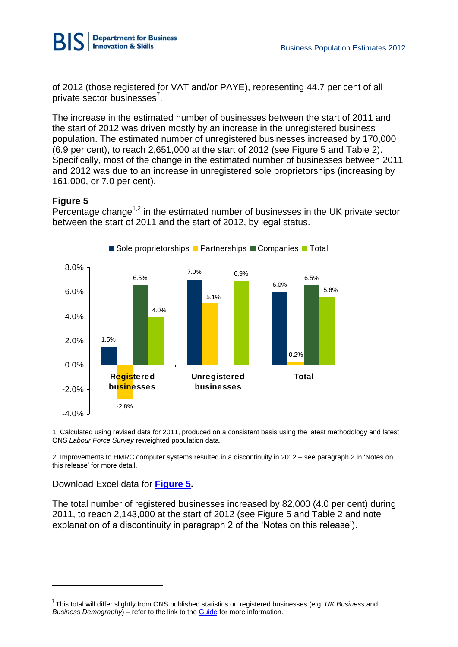

of 2012 (those registered for VAT and/or PAYE), representing 44.7 per cent of all private sector businesses<sup>7</sup>.

The increase in the estimated number of businesses between the start of 2011 and the start of 2012 was driven mostly by an increase in the unregistered business population. The estimated number of unregistered businesses increased by 170,000 (6.9 per cent), to reach 2,651,000 at the start of 2012 (see Figure 5 and Table 2). Specifically, most of the change in the estimated number of businesses between 2011 and 2012 was due to an increase in unregistered sole proprietorships (increasing by 161,000, or 7.0 per cent).

# **Figure 5**

Percentage change<sup> $1,2$ </sup> in the estimated number of businesses in the UK private sector between the start of 2011 and the start of 2012, by legal status.



1: Calculated using revised data for 2011, produced on a consistent basis using the latest methodology and latest ONS *Labour Force Survey* reweighted population data.

2: Improvements to HMRC computer systems resulted in a discontinuity in 2012 – see paragraph 2 in 'Notes on this release' for more detail.

Download Excel data for **[Figure 5.](http://www.bis.gov.uk/assets/biscore/statistics/docs/b/bpe2012SRtab6.xls)**

-

The total number of registered businesses increased by 82,000 (4.0 per cent) during 2011, to reach 2,143,000 at the start of 2012 (see Figure 5 and Table 2 and note explanation of a discontinuity in paragraph 2 of the 'Notes on this release').

<sup>7</sup> This total will differ slightly from ONS published statistics on registered businesses (e.g. *UK Business* and *Business Demography*) – refer to the link to th[e Guide](http://www.bis.gov.uk/analysis/statistics/business-population-estimates/guide-to-business-statistics) for more information.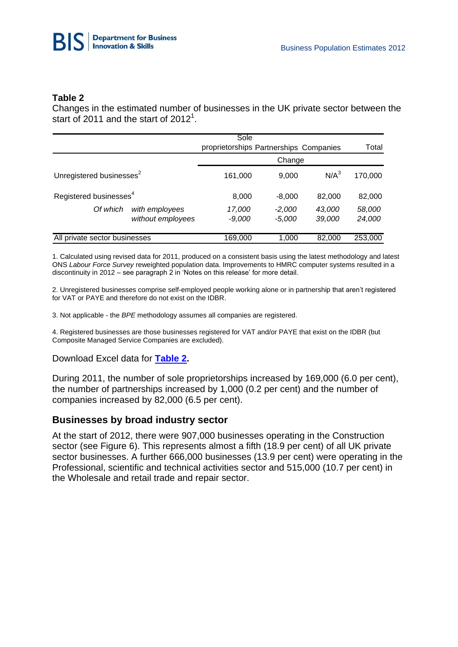

#### **Table 2**

Changes in the estimated number of businesses in the UK private sector between the start of 2011 and the start of 2012<sup>1</sup>.

|                                      |                                     | Sole<br>proprietorships Partnerships Companies |                      |                  | Total            |  |  |
|--------------------------------------|-------------------------------------|------------------------------------------------|----------------------|------------------|------------------|--|--|
|                                      |                                     | Change                                         |                      |                  |                  |  |  |
| Unregistered businesses <sup>2</sup> |                                     | 161,000                                        | 9,000                | $N/A^3$          | 170,000          |  |  |
| Registered businesses <sup>4</sup>   |                                     | 8,000                                          | $-8,000$             | 82,000           | 82,000           |  |  |
| Of which                             | with employees<br>without employees | 17,000<br>$-9,000$                             | $-2,000$<br>$-5,000$ | 43,000<br>39,000 | 58,000<br>24,000 |  |  |
| All private sector businesses        |                                     | 169,000                                        | 1,000                | 82,000           | 253,000          |  |  |

1. Calculated using revised data for 2011, produced on a consistent basis using the latest methodology and latest ONS *Labour Force Survey* reweighted population data. Improvements to HMRC computer systems resulted in a discontinuity in 2012 – see paragraph 2 in 'Notes on this release' for more detail.

2. Unregistered businesses comprise self-employed people working alone or in partnership that aren't registered for VAT or PAYE and therefore do not exist on the IDBR.

3. Not applicable - the *BPE* methodology assumes all companies are registered.

4. Registered businesses are those businesses registered for VAT and/or PAYE that exist on the IDBR (but Composite Managed Service Companies are excluded).

#### Download Excel data for **[Table 2.](http://www.bis.gov.uk/assets/biscore/statistics/docs/b/bpe2012SRtab7.xls)**

During 2011, the number of sole proprietorships increased by 169,000 (6.0 per cent), the number of partnerships increased by 1,000 (0.2 per cent) and the number of companies increased by 82,000 (6.5 per cent).

#### **Businesses by broad industry sector**

At the start of 2012, there were 907,000 businesses operating in the Construction sector (see Figure 6). This represents almost a fifth (18.9 per cent) of all UK private sector businesses. A further 666,000 businesses (13.9 per cent) were operating in the Professional, scientific and technical activities sector and 515,000 (10.7 per cent) in the Wholesale and retail trade and repair sector.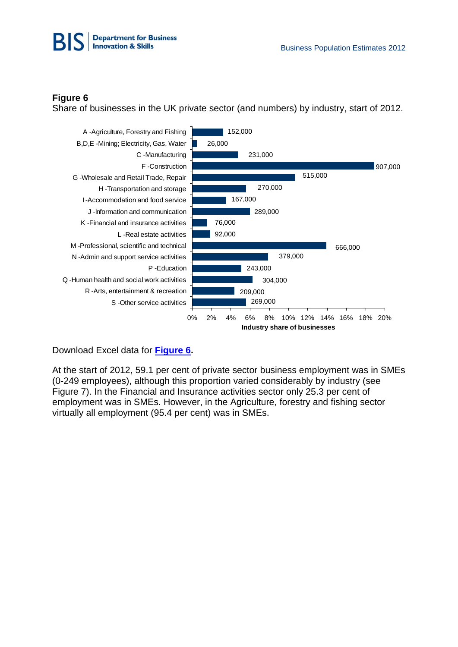

Share of businesses in the UK private sector (and numbers) by industry, start of 2012.



Download Excel data for **[Figure 6.](http://www.bis.gov.uk/assets/biscore/statistics/docs/b/bpe2012SRtab8.xls)**

At the start of 2012, 59.1 per cent of private sector business employment was in SMEs (0-249 employees), although this proportion varied considerably by industry (see Figure 7). In the Financial and Insurance activities sector only 25.3 per cent of employment was in SMEs. However, in the Agriculture, forestry and fishing sector virtually all employment (95.4 per cent) was in SMEs.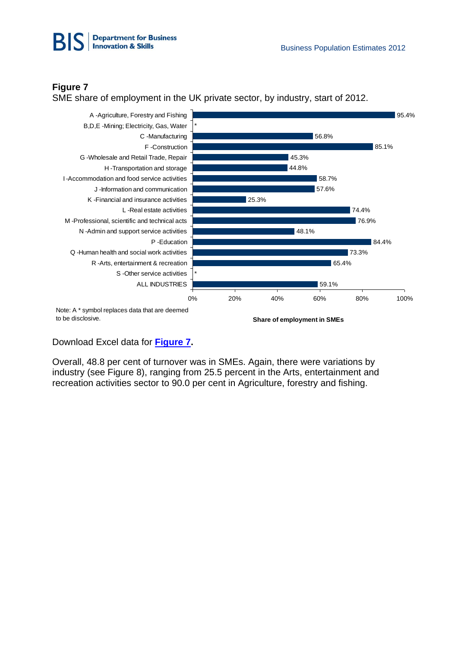

SME share of employment in the UK private sector, by industry, start of 2012.



Download Excel data for **[Figure 7.](http://www.bis.gov.uk/assets/biscore/statistics/docs/b/bpe2012SRtab9.xls)**

Overall, 48.8 per cent of turnover was in SMEs. Again, there were variations by industry (see Figure 8), ranging from 25.5 percent in the Arts, entertainment and recreation activities sector to 90.0 per cent in Agriculture, forestry and fishing.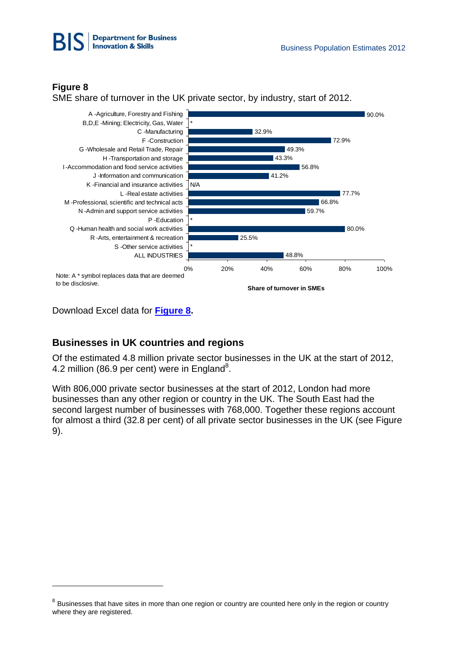



-

SME share of turnover in the UK private sector, by industry, start of 2012.



Download Excel data for **[Figure 8.](http://www.bis.gov.uk/assets/biscore/statistics/docs/b/bpe2012SRtab10.xls)**

# **Businesses in UK countries and regions**

Of the estimated 4.8 million private sector businesses in the UK at the start of 2012, 4.2 million (86.9 per cent) were in England<sup>8</sup>.

With 806,000 private sector businesses at the start of 2012, London had more businesses than any other region or country in the UK. The South East had the second largest number of businesses with 768,000. Together these regions account for almost a third (32.8 per cent) of all private sector businesses in the UK (see Figure 9).

 $8$  Businesses that have sites in more than one region or country are counted here only in the region or country where they are registered.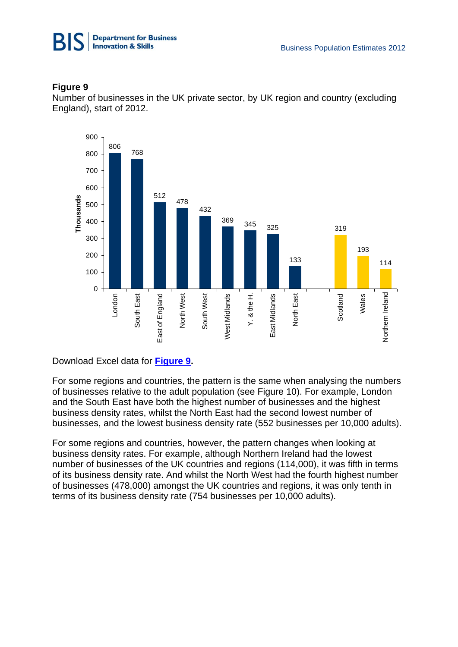

Number of businesses in the UK private sector, by UK region and country (excluding England), start of 2012.



# Download Excel data for **[Figure 9.](http://www.bis.gov.uk/assets/biscore/statistics/docs/b/bpe2012SRtab11.xls)**

For some regions and countries, the pattern is the same when analysing the numbers of businesses relative to the adult population (see Figure 10). For example, London and the South East have both the highest number of businesses and the highest business density rates, whilst the North East had the second lowest number of businesses, and the lowest business density rate (552 businesses per 10,000 adults).

For some regions and countries, however, the pattern changes when looking at business density rates. For example, although Northern Ireland had the lowest number of businesses of the UK countries and regions (114,000), it was fifth in terms of its business density rate. And whilst the North West had the fourth highest number of businesses (478,000) amongst the UK countries and regions, it was only tenth in terms of its business density rate (754 businesses per 10,000 adults).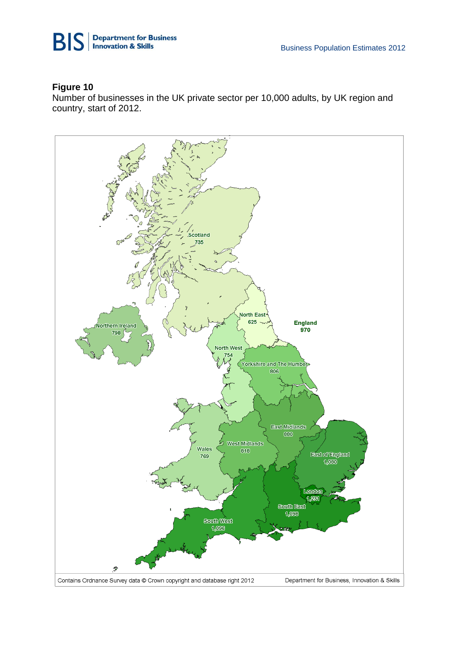



Number of businesses in the UK private sector per 10,000 adults, by UK region and country, start of 2012.

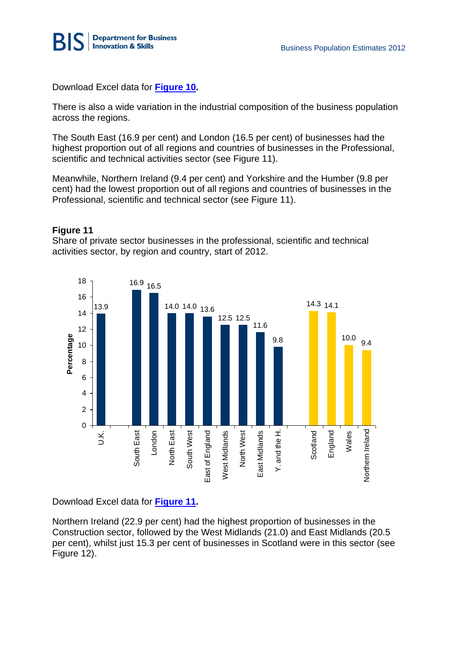

Download Excel data for **[Figure 10.](http://www.bis.gov.uk/assets/biscore/statistics/docs/b/bpe2012SRtab12.xls)**

There is also a wide variation in the industrial composition of the business population across the regions.

The South East (16.9 per cent) and London (16.5 per cent) of businesses had the highest proportion out of all regions and countries of businesses in the Professional, scientific and technical activities sector (see Figure 11).

Meanwhile, Northern Ireland (9.4 per cent) and Yorkshire and the Humber (9.8 per cent) had the lowest proportion out of all regions and countries of businesses in the Professional, scientific and technical sector (see Figure 11).

### **Figure 11**

Share of private sector businesses in the professional, scientific and technical activities sector, by region and country, start of 2012.



Download Excel data for **[Figure 11.](http://www.bis.gov.uk/assets/biscore/statistics/docs/b/bpe2012SRtab13.xls)**

Northern Ireland (22.9 per cent) had the highest proportion of businesses in the Construction sector, followed by the West Midlands (21.0) and East Midlands (20.5 per cent), whilst just 15.3 per cent of businesses in Scotland were in this sector (see Figure 12).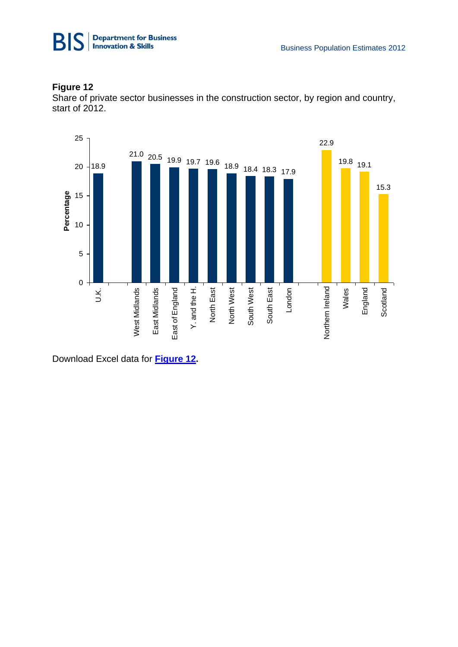

Share of private sector businesses in the construction sector, by region and country, start of 2012.



Download Excel data for **[Figure 12.](http://www.bis.gov.uk/assets/biscore/statistics/docs/b/bpe2012SRtab14.xls)**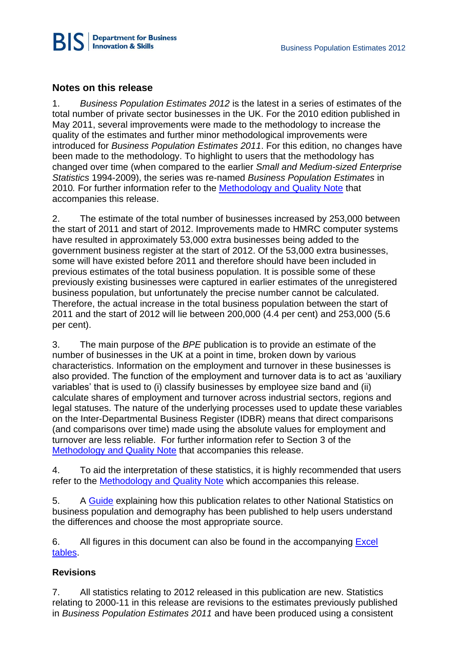

# **Notes on this release**

1. *Business Population Estimates 2012* is the latest in a series of estimates of the total number of private sector businesses in the UK. For the 2010 edition published in May 2011, several improvements were made to the methodology to increase the quality of the estimates and further minor methodological improvements were introduced for *Business Population Estimates 2011*. For this edition, no changes have been made to the methodology. To highlight to users that the methodology has changed over time (when compared to the earlier *Small and Medium-sized Enterprise Statistics* 1994-2009), the series was re-named *Business Population Estimates* in 2010*.* For further information refer to the [Methodology and Quality Note](http://www.bis.gov.uk/assets/biscore/statistics/docs/b/12-92-bpe-2012-method-note.pdf) that accompanies this release.

2. The estimate of the total number of businesses increased by 253,000 between the start of 2011 and start of 2012. Improvements made to HMRC computer systems have resulted in approximately 53,000 extra businesses being added to the government business register at the start of 2012. Of the 53,000 extra businesses, some will have existed before 2011 and therefore should have been included in previous estimates of the total business population. It is possible some of these previously existing businesses were captured in earlier estimates of the unregistered business population, but unfortunately the precise number cannot be calculated. Therefore, the actual increase in the total business population between the start of 2011 and the start of 2012 will lie between 200,000 (4.4 per cent) and 253,000 (5.6 per cent).

3. The main purpose of the *BPE* publication is to provide an estimate of the number of businesses in the UK at a point in time, broken down by various characteristics. Information on the employment and turnover in these businesses is also provided. The function of the employment and turnover data is to act as 'auxiliary variables' that is used to (i) classify businesses by employee size band and (ii) calculate shares of employment and turnover across industrial sectors, regions and legal statuses. The nature of the underlying processes used to update these variables on the Inter-Departmental Business Register (IDBR) means that direct comparisons (and comparisons over time) made using the absolute values for employment and turnover are less reliable. For further information refer to Section 3 of the [Methodology and Quality Note](http://www.bis.gov.uk/assets/biscore/statistics/docs/b/12-92-bpe-2012-method-note.pdf) that accompanies this release.

4. To aid the interpretation of these statistics, it is highly recommended that users refer to the [Methodology and Quality Note](http://www.bis.gov.uk/assets/biscore/statistics/docs/b/12-92-bpe-2012-method-note.pdf) which accompanies this release.

5. A [Guide](http://www.bis.gov.uk/analysis/statistics/business-population-estimates/guide-to-business-statistics) explaining how this publication relates to other National Statistics on business population and demography has been published to help users understand the differences and choose the most appropriate source.

6. All figures in this document can also be found in the accompanying Excel [tables.](http://www.bis.gov.uk/assets/biscore/statistics/docs/b/bpe_2012_data_sic07.xls)

# **Revisions**

7. All statistics relating to 2012 released in this publication are new. Statistics relating to 2000-11 in this release are revisions to the estimates previously published in *Business Population Estimates 2011* and have been produced using a consistent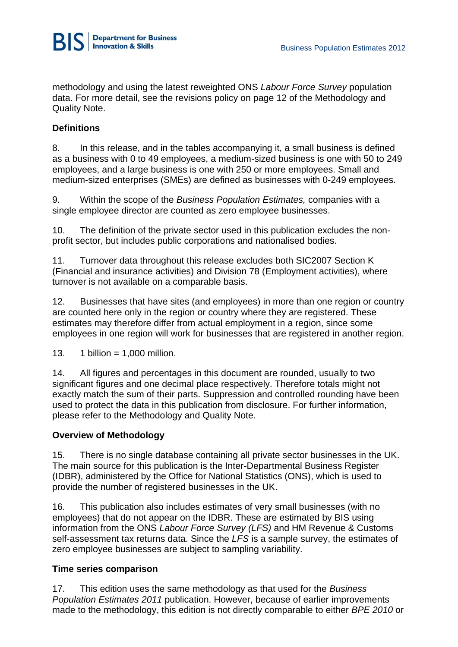

methodology and using the latest reweighted ONS *Labour Force Survey* population data. For more detail, see the revisions policy on page 12 of the Methodology and Quality Note.

# **Definitions**

8. In this release, and in the tables accompanying it, a small business is defined as a business with 0 to 49 employees, a medium-sized business is one with 50 to 249 employees, and a large business is one with 250 or more employees. Small and medium-sized enterprises (SMEs) are defined as businesses with 0-249 employees.

9. Within the scope of the *Business Population Estimates,* companies with a single employee director are counted as zero employee businesses.

10. The definition of the private sector used in this publication excludes the nonprofit sector, but includes public corporations and nationalised bodies.

11. Turnover data throughout this release excludes both SIC2007 Section K (Financial and insurance activities) and Division 78 (Employment activities), where turnover is not available on a comparable basis.

12. Businesses that have sites (and employees) in more than one region or country are counted here only in the region or country where they are registered. These estimates may therefore differ from actual employment in a region, since some employees in one region will work for businesses that are registered in another region.

13. 1 billion =  $1,000$  million.

14. All figures and percentages in this document are rounded, usually to two significant figures and one decimal place respectively. Therefore totals might not exactly match the sum of their parts. Suppression and controlled rounding have been used to protect the data in this publication from disclosure. For further information, please refer to the Methodology and Quality Note.

#### **Overview of Methodology**

15. There is no single database containing all private sector businesses in the UK. The main source for this publication is the Inter-Departmental Business Register (IDBR), administered by the Office for National Statistics (ONS), which is used to provide the number of registered businesses in the UK.

16. This publication also includes estimates of very small businesses (with no employees) that do not appear on the IDBR. These are estimated by BIS using information from the ONS *Labour Force Survey (LFS)* and HM Revenue & Customs self-assessment tax returns data. Since the *LFS* is a sample survey, the estimates of zero employee businesses are subject to sampling variability.

#### **Time series comparison**

17. This edition uses the same methodology as that used for the *Business Population Estimates 2011* publication. However, because of earlier improvements made to the methodology, this edition is not directly comparable to either *BPE 2010* or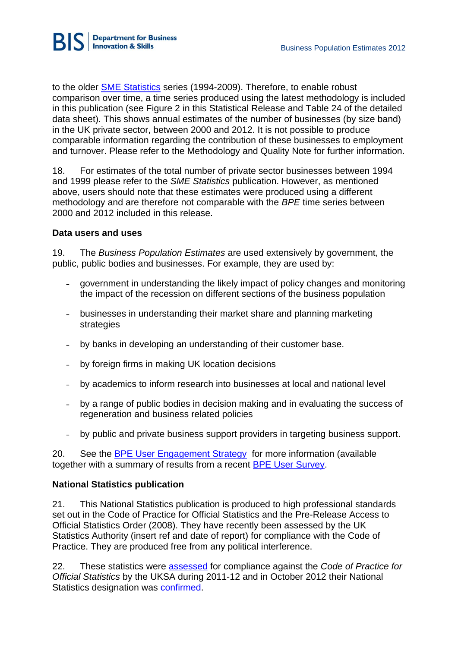

to the older [SME Statistics](http://webarchive.nationalarchives.gov.uk/20110920151722/http:/stats.bis.gov.uk/ed/sme/index.htm) series (1994-2009). Therefore, to enable robust comparison over time, a time series produced using the latest methodology is included in this publication (see Figure 2 in this Statistical Release and Table 24 of the detailed data sheet). This shows annual estimates of the number of businesses (by size band) in the UK private sector, between 2000 and 2012. It is not possible to produce comparable information regarding the contribution of these businesses to employment and turnover. Please refer to the Methodology and Quality Note for further information.

18. For estimates of the total number of private sector businesses between 1994 and 1999 please refer to the *SME Statistics* publication. However, as mentioned above, users should note that these estimates were produced using a different methodology and are therefore not comparable with the *BPE* time series between 2000 and 2012 included in this release.

# **Data users and uses**

19. The *Business Population Estimates* are used extensively by government, the public, public bodies and businesses. For example, they are used by:

- government in understanding the likely impact of policy changes and monitoring the impact of the recession on different sections of the business population
- businesses in understanding their market share and planning marketing strategies
- by banks in developing an understanding of their customer base.
- by foreign firms in making UK location decisions
- by academics to inform research into businesses at local and national level
- by a range of public bodies in decision making and in evaluating the success of regeneration and business related policies
- by public and private business support providers in targeting business support.

20. See the [BPE User Engagement Strategy](http://www.bis.gov.uk/assets/biscore/statistics/docs/b/bpe%20user%20engagement%20strategy.pdff) for more information (available together with a summary of results from a recent **BPE User Survey**.

# **National Statistics publication**

21. This National Statistics publication is produced to high professional standards set out in the Code of Practice for Official Statistics and the Pre-Release Access to Official Statistics Order (2008). They have recently been assessed by the UK Statistics Authority (insert ref and date of report) for compliance with the Code of Practice. They are produced free from any political interference.

22. These statistics were [assessed](http://www.statisticsauthority.gov.uk/assessment/assessment/assessment-reports/assessment-report-187---statistics-on-uk-business-population-and-demography.pdf) for compliance against the *Code of Practice for Official Statistics* by the UKSA during 2011-12 and in October 2012 their National Statistics designation was [confirmed.](http://www.statisticsauthority.gov.uk/assessment/assessment/assessment-reports/confirmation-of-designation-letters/letter-of-confirmation-as-national-statistics---assessment-report-187.pdf)